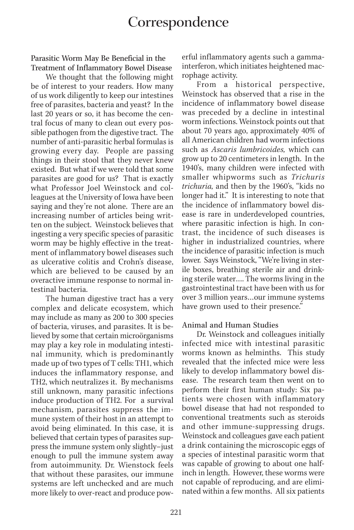## **Correspondence**

Parasitic Worm May Be Beneficial in the Treatment of Inflammatory Bowel Disease

We thought that the following might be of interest to your readers. How many of us work diligently to keep our intestines free of parasites, bacteria and yeast? In the last 20 years or so, it has become the central focus of many to clean out every possible pathogen from the digestive tract. The number of anti-parasitic herbal formulas is growing every day. People are passing things in their stool that they never knew existed. But what if we were told that some parasites are good for us? That is exactly what Professor Joel Weinstock and colleagues at the University of Iowa have been saying and they're not alone. There are an increasing number of articles being written on the subject. Weinstock believes that ingesting a very specific species of parasitic worm may be highly effective in the treatment of inflammatory bowel diseases such as ulcerative colitis and Crohn's disease, which are believed to be caused by an overactive immune response to normal intestinal bacteria.

The human digestive tract has a very complex and delicate ecosystem, which may include as many as 200 to 300 species of bacteria, viruses, and parasites. It is believed by some that certain microörganisms may play a key role in modulating intestinal immunity, which is predominantly made up of two types of T cells: TH1, which induces the inflammatory response, and TH2, which neutralizes it. By mechanisms still unknown, many parasitic infections induce production of TH2. For a survival mechanism, parasites suppress the immune system of their host in an attempt to avoid being eliminated. In this case, it is believed that certain types of parasites suppress the immune system only slightly–just enough to pull the immune system away from autoimmunity. Dr. Wienstock feels that without these parasites, our immune systems are left unchecked and are much more likely to over-react and produce powerful inflammatory agents such a gammainterferon, which initiates heightened macrophage activity.

From a historical perspective, Weinstock has observed that a rise in the incidence of inflammatory bowel disease was preceded by a decline in intestinal worm infections. Weinstock points out that about 70 years ago, approximately 40% of all American children had worm infections such as *Ascaris lumbricoides,* which can grow up to 20 centimeters in length. In the 1940's, many children were infected with smaller whipworms such as *Trichuris trichuria,* and then by the 1960's, "kids no longer had it." It is interesting to note that the incidence of inflammatory bowel disease is rare in underdeveloped countries, where parasitic infection is high. In contrast, the incidence of such diseases is higher in industrialized countries, where the incidence of parasitic infection is much lower. Says Weinstock, "We're living in sterile boxes, breathing sterile air and drinking sterile water…. The worms living in the gastrointestinal tract have been with us for over 3 million years…our immune systems have grown used to their presence."

## Animal and Human Studies

Dr. Weinstock and colleagues initially infected mice with intestinal parasitic worms known as helminths. This study revealed that the infected mice were less likely to develop inflammatory bowel disease. The research team then went on to perform their first human study: Six patients were chosen with inflammatory bowel disease that had not responded to conventional treatments such as steroids and other immune-suppressing drugs. Weinstock and colleagues gave each patient a drink containing the microscopic eggs of a species of intestinal parasitic worm that was capable of growing to about one halfinch in length. However, these worms were not capable of reproducing, and are eliminated within a few months. All six patients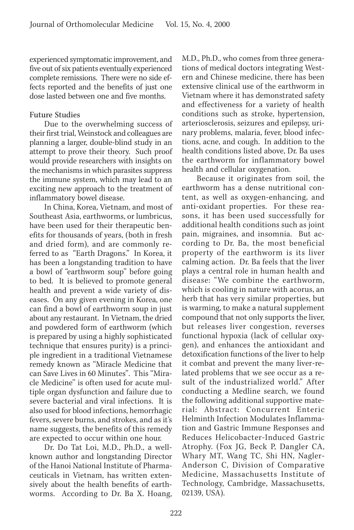experienced symptomatic improvement, and five out of six patients eventually experienced complete remissions. There were no side effects reported and the benefits of just one dose lasted between one and five months.

## Future Studies

Due to the overwhelming success of their first trial, Weinstock and colleagues are planning a larger, double-blind study in an attempt to prove their theory. Such proof would provide researchers with insights on the mechanisms in which parasites suppress the immune system, which may lead to an exciting new approach to the treatment of inflammatory bowel disease.

In China, Korea, Vietnam, and most of Southeast Asia, earthworms, or lumbricus, have been used for their therapeutic benefits for thousands of years, (both in fresh and dried form), and are commonly referred to as "Earth Dragons." In Korea, it has been a longstanding tradition to have a bowl of "earthworm soup" before going to bed. It is believed to promote general health and prevent a wide variety of diseases. On any given evening in Korea, one can find a bowl of earthworm soup in just about any restaurant. In Vietnam, the dried and powdered form of earthworm (which is prepared by using a highly sophisticated technique that ensures purity) is a principle ingredient in a traditional Vietnamese remedy known as "Miracle Medicine that can Save Lives in 60 Minutes". This "Miracle Medicine" is often used for acute multiple organ dysfunction and failure due to severe bacterial and viral infections. It is also used for blood infections, hemorrhagic fevers, severe burns, and strokes, and as it's name suggests, the benefits of this remedy are expected to occur within one hour.

Dr. Do Tat Loi, M.D., Ph.D., a wellknown author and longstanding Director of the Hanoi National Institute of Pharmaceuticals in Vietnam, has written extensively about the health benefits of earthworms. According to Dr. Ba X. Hoang, M.D., Ph.D., who comes from three generations of medical doctors integrating Western and Chinese medicine, there has been extensive clinical use of the earthworm in Vietnam where it has demonstrated safety and effectiveness for a variety of health conditions such as stroke, hypertension, arteriosclerosis, seizures and epilepsy, urinary problems, malaria, fever, blood infections, acne, and cough. In addition to the health conditions listed above, Dr. Ba uses the earthworm for inflammatory bowel health and cellular oxygenation.

Because it originates from soil, the earthworm has a dense nutritional content, as well as oxygen-enhancing, and anti-oxidant properties. For these reasons, it has been used successfully for additional health conditions such as joint pain, migraines, and insomnia. But according to Dr. Ba, the most beneficial property of the earthworm is its liver calming action. Dr. Ba feels that the liver plays a central role in human health and disease: "We combine the earthworm, which is cooling in nature with acorus, an herb that has very similar properties, but is warming, to make a natural supplement compound that not only supports the liver, but releases liver congestion, reverses functional hypoxia (lack of cellular oxygen), and enhances the antioxidant and detoxification functions of the liver to help it combat and prevent the many liver-related problems that we see occur as a result of the industrialized world." After conducting a Medline search, we found the following additional supportive material: Abstract: Concurrent Enteric Helminth Infection Modulates Inflammation and Gastric Immune Responses and Reduces Helicobacter-Induced Gastric Atrophy. (Fox JG, Beck P, Dangler CA, Whary MT, Wang TC, Shi HN, Nagler-Anderson C, Division of Comparative Medicine, Massachusetts Institute of Technology, Cambridge, Massachusetts, 02139, USA).